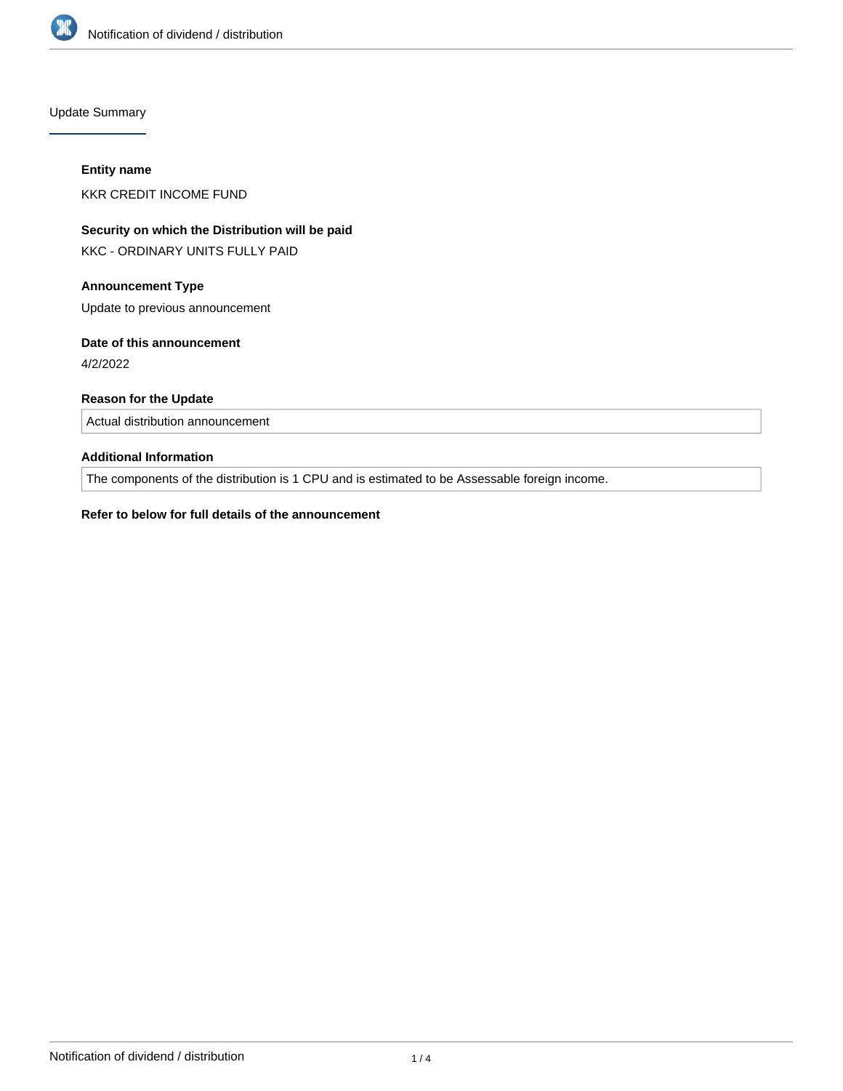

Update Summary

#### **Entity name**

KKR CREDIT INCOME FUND

# **Security on which the Distribution will be paid**

KKC - ORDINARY UNITS FULLY PAID

# **Announcement Type**

Update to previous announcement

## **Date of this announcement**

4/2/2022

# **Reason for the Update**

Actual distribution announcement

# **Additional Information**

The components of the distribution is 1 CPU and is estimated to be Assessable foreign income.

## **Refer to below for full details of the announcement**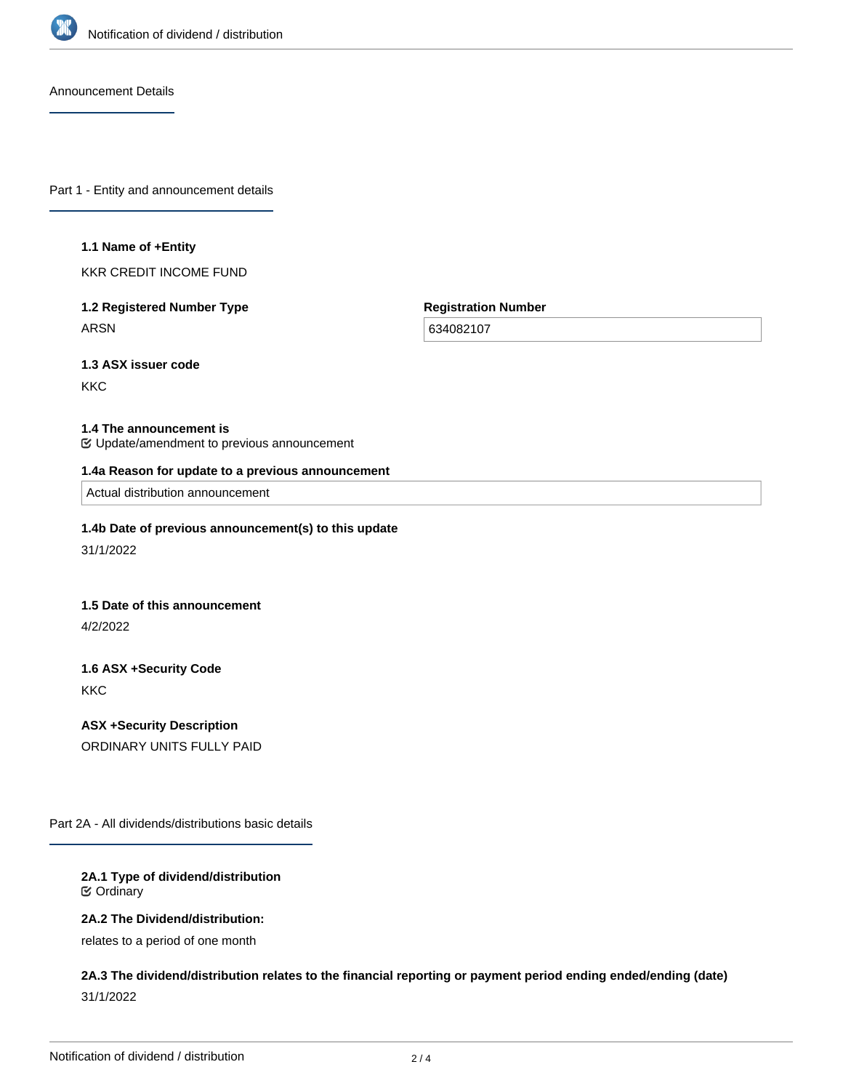

Announcement Details

Part 1 - Entity and announcement details

#### **1.1 Name of +Entity**

KKR CREDIT INCOME FUND

# **1.2 Registered Number Type** ARSN

**Registration Number**

634082107

**1.3 ASX issuer code**

**KKC** 

#### **1.4 The announcement is**

Update/amendment to previous announcement

#### **1.4a Reason for update to a previous announcement**

Actual distribution announcement

#### **1.4b Date of previous announcement(s) to this update**

31/1/2022

## **1.5 Date of this announcement**

4/2/2022

# **1.6 ASX +Security Code** KKC

**ASX +Security Description** ORDINARY UNITS FULLY PAID

Part 2A - All dividends/distributions basic details

## **2A.1 Type of dividend/distribution** Ordinary

**2A.2 The Dividend/distribution:**

relates to a period of one month

**2A.3 The dividend/distribution relates to the financial reporting or payment period ending ended/ending (date)** 31/1/2022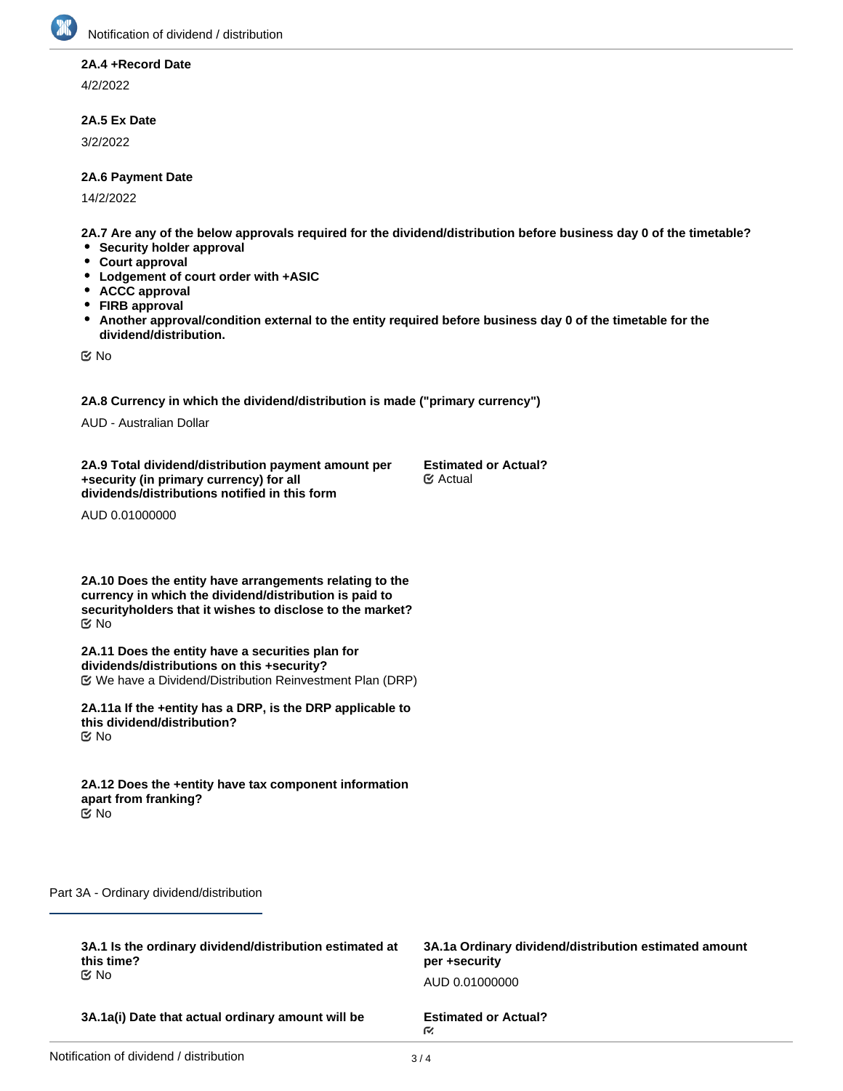

# **2A.4 +Record Date**

4/2/2022

## **2A.5 Ex Date**

3/2/2022

## **2A.6 Payment Date**

14/2/2022

**2A.7 Are any of the below approvals required for the dividend/distribution before business day 0 of the timetable?**

- **Security holder approval**
- **Court approval**
- $\bullet$ **Lodgement of court order with +ASIC**
- **ACCC approval**  $\bullet$
- **FIRB approval**
- **Another approval/condition external to the entity required before business day 0 of the timetable for the**  $\bullet$ **dividend/distribution.**

No

**2A.8 Currency in which the dividend/distribution is made ("primary currency")**

AUD - Australian Dollar

**2A.9 Total dividend/distribution payment amount per +security (in primary currency) for all dividends/distributions notified in this form**

**Estimated or Actual?** Actual

AUD 0.01000000

**2A.10 Does the entity have arrangements relating to the currency in which the dividend/distribution is paid to securityholders that it wishes to disclose to the market?** No

**2A.11 Does the entity have a securities plan for dividends/distributions on this +security?** We have a Dividend/Distribution Reinvestment Plan (DRP)

**2A.11a If the +entity has a DRP, is the DRP applicable to this dividend/distribution?** No

**2A.12 Does the +entity have tax component information apart from franking?** No

Part 3A - Ordinary dividend/distribution

| 3A.1 Is the ordinary dividend/distribution estimated at | 3A.1a Ordinary dividend/distribution estimated amount |
|---------------------------------------------------------|-------------------------------------------------------|
| this time?                                              | per +security                                         |
| tiX No                                                  | AUD 0.01000000                                        |
| 3A.1a(i) Date that actual ordinary amount will be       | <b>Estimated or Actual?</b><br>M.                     |